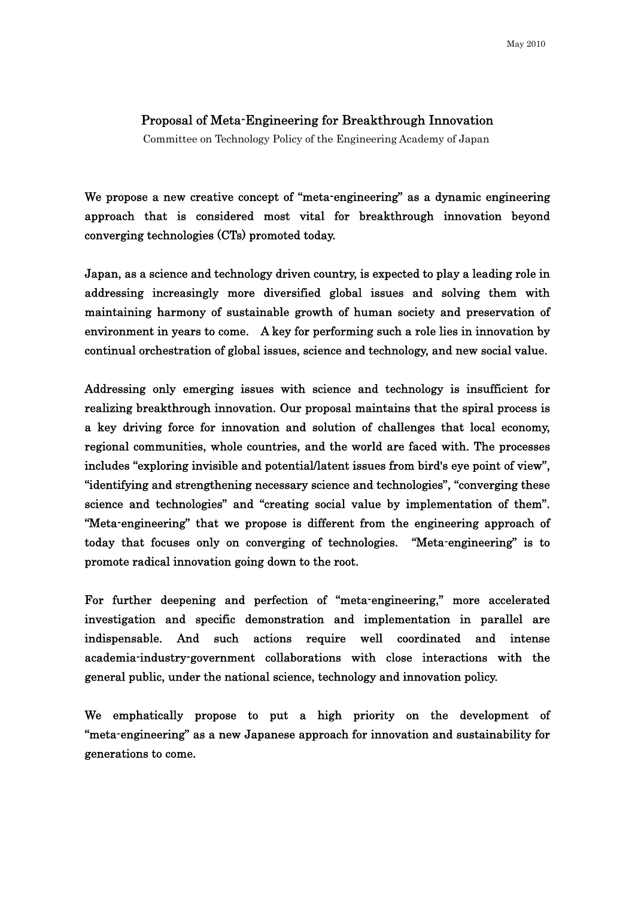## Proposal of Meta-Engineering for Breakthrough Innovation

Committee on Technology Policy of the Engineering Academy of Japan

We propose a new creative concept of "meta-engineering" as a dynamic engineering approach that is considered most vital for breakthrough innovation beyond converging technologies (CTs) promoted today.

Japan, as a science and technology driven country, is expected to play a leading role in addressing increasingly more diversified global issues and solving them with maintaining harmony of sustainable growth of human society and preservation of environment in years to come. A key for performing such a role lies in innovation by continual orchestration of global issues, science and technology, and new social value.

Addressing only emerging issues with science and technology is insufficient for realizing breakthrough innovation. Our proposal maintains that the spiral process is a key driving force for innovation and solution of challenges that local economy, regional communities, whole countries, and the world are faced with. The processes includes "exploring invisible and potential/latent issues from bird's eye point of view", "identifying and strengthening necessary science and technologies", "converging these science and technologies" and "creating social value by implementation of them". "Meta-engineering" that we propose is different from the engineering approach of today that focuses only on converging of technologies. "Meta-engineering" is to promote radical innovation going down to the root.

For further deepening and perfection of "meta-engineering," more accelerated investigation and specific demonstration and implementation in parallel are indispensable. And such actions require well coordinated and intense academia-industry-government collaborations with close interactions with the general public, under the national science, technology and innovation policy.

We emphatically propose to put a high priority on the development of "meta-engineering" as a new Japanese approach for innovation and sustainability for generations to come.